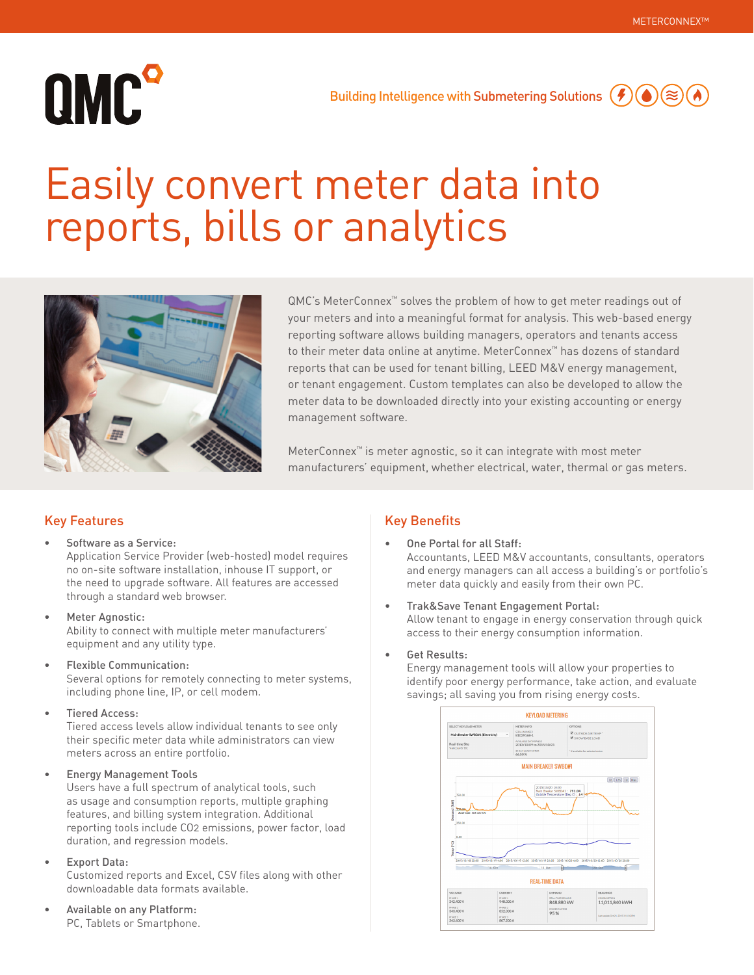# QMC<sup>o</sup>

## Easily convert meter data into reports, bills or analytics



QMC's MeterConnex™ solves the problem of how to get meter readings out of your meters and into a meaningful format for analysis. This web-based energy reporting software allows building managers, operators and tenants access to their meter data online at anytime. MeterConnex™ has dozens of standard reports that can be used for tenant billing, LEED M&V energy management, or tenant engagement. Custom templates can also be developed to allow the meter data to be downloaded directly into your existing accounting or energy management software.

MeterConnex™ is meter agnostic, so it can integrate with most meter manufacturers' equipment, whether electrical, water, thermal or gas meters.

## Key Features

- Software as a Service: Application Service Provider (web-hosted) model requires no on-site software installation, inhouse IT support, or the need to upgrade software. All features are accessed
- Meter Agnostic: Ability to connect with multiple meter manufacturers' equipment and any utility type.
- Flexible Communication:

through a standard web browser.

Several options for remotely connecting to meter systems, including phone line, IP, or cell modem.

• Tiered Access:

Tiered access levels allow individual tenants to see only their specific meter data while administrators can view meters across an entire portfolio.

• Energy Management Tools

Users have a full spectrum of analytical tools, such as usage and consumption reports, multiple graphing features, and billing system integration. Additional reporting tools include CO2 emissions, power factor, load duration, and regression models.

**Export Data:** 

Customized reports and Excel, CSV files along with other downloadable data formats available.

• Available on any Platform: PC, Tablets or Smartphone.

## Key Benefits

- One Portal for all Staff: Accountants, LEED M&V accountants, consultants, operators and energy managers can all access a building's or portfolio's meter data quickly and easily from their own PC.
- Trak&Save Tenant Engagement Portal: Allow tenant to engage in energy conservation through quick access to their energy consumption information.

## • Get Results:

Energy management tools will allow your properties to identify poor energy performance, take action, and evaluate savings; all saving you from rising energy costs.